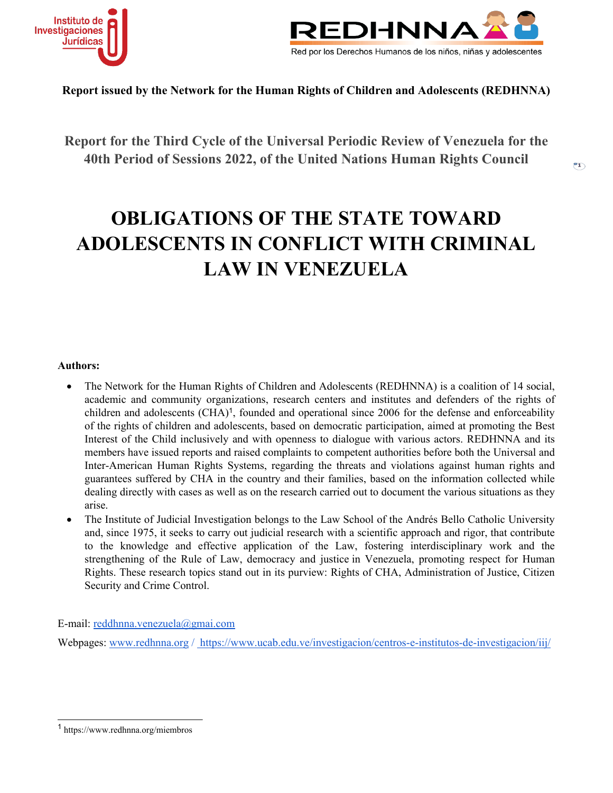



 $\overline{r}$ 

**Report issued by the Network for the Human Rights of Children and Adolescents (REDHNNA)**

**Report for the Third Cycle of the Universal Periodic Review of Venezuela for the 40th Period of Sessions 2022, of the United Nations Human Rights Council**

# **OBLIGATIONS OF THE STATE TOWARD ADOLESCENTS IN CONFLICT WITH CRIMINAL LAW IN VENEZUELA**

#### **Authors:**

- $\bullet$  The Network for the Human Rights of Children and Adolescents (REDHNNA) is <sup>a</sup> coalition of 14 social, academic and community organizations, research centers and institutes and defenders of the rights of children and adolescents (CHA) 1 , founded and operational since 2006 for the defense and enforceability of the rights of children and adolescents, based on democratic participation, aimed at promoting the Best Interest of the Child inclusively and with openness to dialogue with various actors. REDHNNA and its members have issued reports and raised complaints to competent authorities before both the Universal and Inter-American Human Rights Systems, regarding the threats and violations against human rights and guarantees suffered by CHA in the country and their families, based on the information collected while dealing directly with cases as well as on the research carried out to document the various situations as they arise.
- 0 The Institute of Judicial Investigation belongs to the Law School of the Andrés Bello Catholic University and, since 1975, it seeks to carry out judicial research with <sup>a</sup> scientific approach and rigor, that contribute to the knowledge and effective application of the Law, fostering interdisciplinary work and the strengthening of the Rule of Law, democracy and justice in Venezuela, promoting respec<sup>t</sup> for Human Rights. These research topics stand out in its purview: Rights of CHA, Administration of Justice, Citizen Security and Crime Control.

E-mail: [reddhnna.venezuela@gmai.com](mailto:reddhnna.venezuela@gmai.com)

Webpages: [www.redhnna.org](http://www.redhnna.org) / https://www.ucab.edu.ve/investigacion/centros-e-institutos-de-investigacion/iij/

<sup>1</sup> https://www.redhnna.org/miembros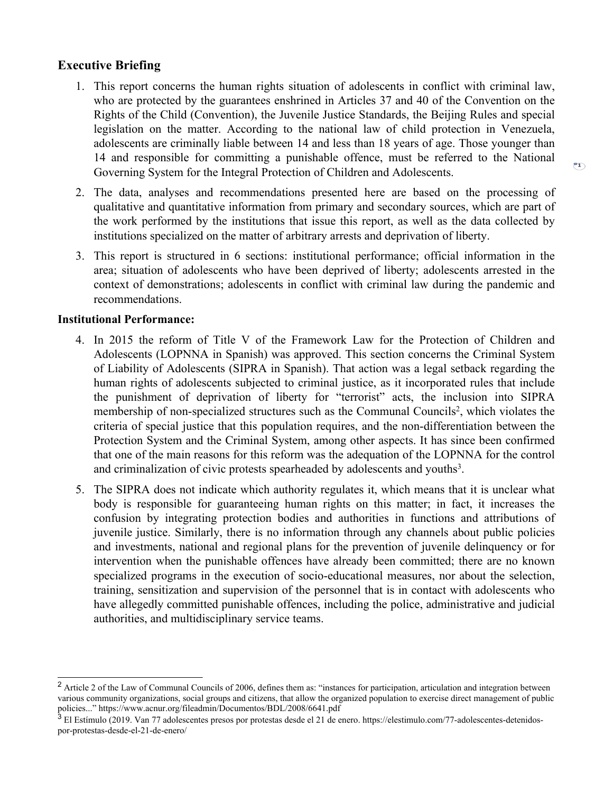## $\overline{P1}$

### **Executive Briefing**

- 1. This repor<sup>t</sup> concerns the human rights situation of adolescents in conflict with criminal law, who are protected by the guarantees enshrined in Articles 37 and 40 of the Convention on the Rights of the Child (Convention), the Juvenile Justice Standards, the Beijing Rules and special legislation on the matter. According to the national law of child protection in Venezuela, adolescents are criminally liable between 14 and less than 18 years of age. Those younger than 14 and responsible for committing <sup>a</sup> punishable offence, must be referred to the National Governing System for the Integral Protection of Children and Adolescents.
- 2. The data, analyses and recommendations presented here are based on the processing of qualitative and quantitative information from primary and secondary sources, which are par<sup>t</sup> of the work performed by the institutions that issue this report, as well as the data collected by institutions specialized on the matter of arbitrary arrests and deprivation of liberty.
- 3. This repor<sup>t</sup> is structured in 6 sections: institutional performance; official information in the area; situation of adolescents who have been deprived of liberty; adolescents arrested in the context of demonstrations; adolescents in conflict with criminal law during the pandemic and recommendations.

#### **Institutional Performance:**

- 4. In 2015 the reform of Title V of the Framework Law for the Protection of Children and Adolescents (LOPNNA in Spanish) was approved. This section concerns the Criminal System of Liability of Adolescents (SIPRA in Spanish). That action was <sup>a</sup> legal setback regarding the human rights of adolescents subjected to criminal justice, as it incorporated rules that include the punishment of deprivation of liberty for "terrorist" acts, the inclusion into SIPRA membership of non-specialized structures such as the Communal Councils<sup>2</sup>, which violates the criteria of special justice that this population requires, and the non-differentiation between the Protection System and the Criminal System, among other aspects. It has since been confirmed that one of the main reasons for this reform was the adequation of the LOPNNA for the control and criminalization of civic protests spearheaded by adolescents and youths<sup>3</sup>.
- 5. The SIPRA does not indicate which authority regulates it, which means that it is unclear what body is responsible for guaranteeing human rights on this matter; in fact, it increases the confusion by integrating protection bodies and authorities in functions and attributions of juvenile justice. Similarly, there is no information through any channels about public policies and investments, national and regional plans for the prevention of juvenile delinquency or for intervention when the punishable offences have already been committed; there are no known specialized programs in the execution of socio-educational measures, nor about the selection, training, sensitization and supervision of the personnel that is in contact with adolescents who have allegedly committed punishable offences, including the police, administrative and judicial authorities, and multidisciplinary service teams.

<sup>&</sup>lt;sup>2</sup> Article 2 of the Law of Communal Councils of 2006, defines them as: "instances for participation, articulation and integration between various community organizations, social groups and citizens, that allow the organized population to exercise direct managemen<sup>t</sup> of public policies..." https://www.acnur.org/fileadmin/Documentos/BDL/2008/6641.pdf<br><sup>3</sup> El Estímulo (2019. Van 77 adolescentes presos por protestas desde el 21 de enero. https://elestimulo.com/77-adolescentes-detenidos-

por-protestas-desde-el-21-de-enero/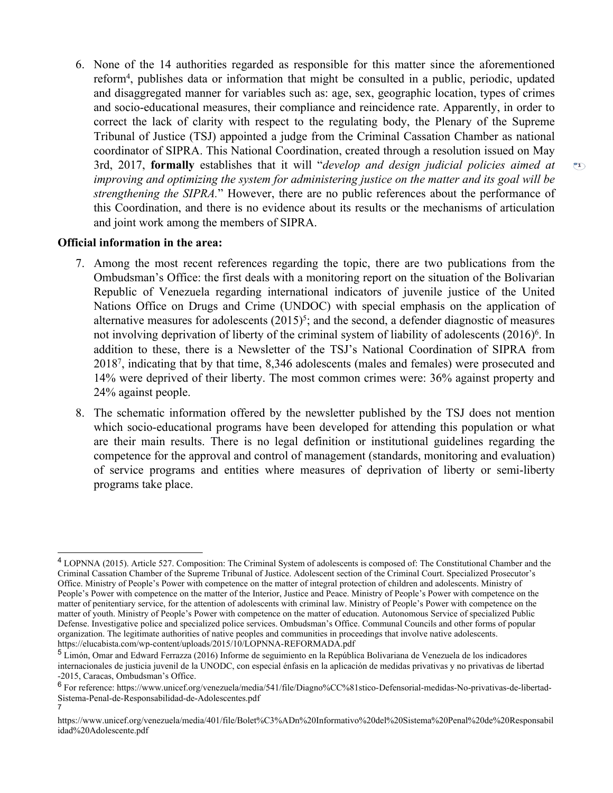6. None of the 14 authorities regarded as responsible for this matter since the aforementioned reform<sup>4</sup> , publishes data or information that might be consulted in <sup>a</sup> public, periodic, updated and disaggregated manner for variables such as: age, sex, geographic location, types of crimes and socio-educational measures, their compliance and reincidence rate. Apparently, in order to correct the lack of clarity with respec<sup>t</sup> to the regulating body, the Plenary of the Supreme Tribunal of Justice (TSJ) appointed <sup>a</sup> judge from the Criminal Cassation Chamber as national coordinator of SIPRA. This National Coordination, created through <sup>a</sup> resolution issued on May 3rd, 2017, **formally** establishes that it will "*develop and design judicial policies aimed at* improving and optimizing the system for administering justice on the matter and its goal will be *strengthening the SIPRA.*" However, there are no public references about the performance of this Coordination, and there is no evidence about its results or the mechanisms of articulation and joint work among the members of SIPRA.

 $\binom{2}{1}$ 

#### **Official information in the area:**

7

- 7. Among the most recent references regarding the topic, there are two publications from the Ombudsman'<sup>s</sup> Office: the first deals with <sup>a</sup> monitoring repor<sup>t</sup> on the situation of the Bolivarian Republic of Venezuela regarding international indicators of juvenile justice of the United Nations Office on Drugs and Crime (UNDOC) with special emphasis on the application of alternative measures for adolescents  $(2015)^5$ ; and the second, a defender diagnostic of measures not involving deprivation of liberty of the criminal system of liability of adolescents (2016) 6 . In addition to these, there is <sup>a</sup> Newsletter of the TSJ'<sup>s</sup> National Coordination of SIPRA from 2018<sup>7</sup> , indicating that by that time, 8,346 adolescents (males and females) were prosecuted and 14% were deprived of their liberty. The most common crimes were: 36% against property and 24% against people.
- 8. The schematic information offered by the newsletter published by the TSJ does not mention which socio-educational programs have been developed for attending this population or what are their main results. There is no legal definition or institutional guidelines regarding the competence for the approval and control of managemen<sup>t</sup> (standards, monitoring and evaluation) of service programs and entities where measures of deprivation of liberty or semi-liberty programs take place.

<sup>4</sup> LOPNNA (2015). Article 527. Composition: The Criminal System of adolescents is composed of: The Constitutional Chamber and the Criminal Cassation Chamber of the Supreme Tribunal of Justice. Adolescent section of the Criminal Court. Specialized Prosecutor'<sup>s</sup> Office. Ministry of People'<sup>s</sup> Power with competence on the matter of integral protection of children and adolescents. Ministry of People'<sup>s</sup> Power with competence on the matter of the Interior, Justice and Peace. Ministry of People'<sup>s</sup> Power with competence on the matter of penitentiary service, for the attention of adolescents with criminal law. Ministry of People'<sup>s</sup> Power with competence on the matter of youth. Ministry of People'<sup>s</sup> Power with competence on the matter of education. Autonomous Service of specialized Public Defense. Investigative police and specialized police services. Ombudsman'<sup>s</sup> Office. Communal Councils and other forms of popular organization. The legitimate authorities of native peoples and communities in proceedings that involve native adolescents. https://elucabista.com/wp-content/uploads/2015/10/LOPNNA-REFORMADA.pdf

<sup>5</sup> Limón, Omar and Edward Ferrazza (2016) Informe de seguimiento en la República Bolivariana de Venezuela de los indicadores internacionales de justicia juvenil de la UNODC, con especial énfasis en la aplicación de medidas privativas y no privativas de libertad -2015, Caracas, Ombudsman'<sup>s</sup> Office.

<sup>6</sup> For reference: https://www.unicef.org/venezuela/media/541/file/Diagno%CC%81stico-Defensorial-medidas-No-privativas-de-libertad-Sistema-Penal-de-Responsabilidad-de-Adolescentes.pdf

https://www.unicef.org/venezuela/media/401/file/Bolet%C3%ADn%20Informativo%20del%20Sistema%20Penal%20de%20Responsabil idad%20Adolescente.pdf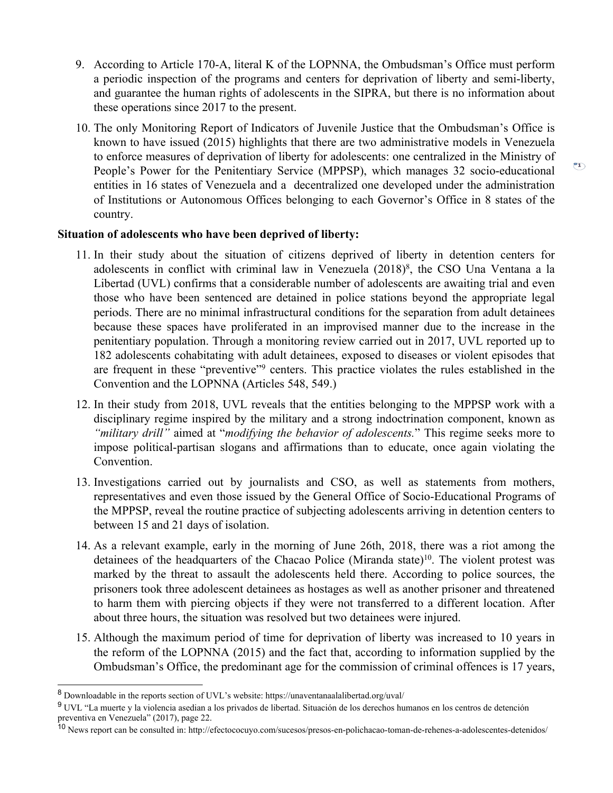- 9. According to Article 170-A, literal K of the LOPNNA, the Ombudsman'<sup>s</sup> Office must perform <sup>a</sup> periodic inspection of the programs and centers for deprivation of liberty and semi-liberty, and guarantee the human rights of adolescents in the SIPRA, but there is no information about these operations since 2017 to the present.
- 10. The only Monitoring Report of Indicators of Juvenile Justice that the Ombudsman'<sup>s</sup> Office is known to have issued (2015) highlights that there are two administrative models in Venezuela to enforce measures of deprivation of liberty for adolescents: one centralized in the Ministry of People'<sup>s</sup> Power for the Penitentiary Service (MPPSP), which manages 32 socio-educational entities in 16 states of Venezuela and <sup>a</sup> decentralized one developed under the administration of Institutions or Autonomous Offices belonging to each Governor'<sup>s</sup> Office in 8 states of the country.

 $\binom{2}{1}$ 

#### **Situation of adolescents who have been deprived of liberty:**

- 11. In their study about the situation of citizens deprived of liberty in detention centers for adolescents in conflict with criminal law in Venezuela (2018) 8 , the CSO Una Ventana <sup>a</sup> la Libertad (UVL) confirms that <sup>a</sup> considerable number of adolescents are awaiting trial and even those who have been sentenced are detained in police stations beyond the appropriate legal periods. There are no minimal infrastructural conditions for the separation from adult detainees because these spaces have proliferated in an improvised manner due to the increase in the penitentiary population. Through <sup>a</sup> monitoring review carried out in 2017, UVL reported up to 182 adolescents cohabitating with adult detainees, exposed to diseases or violent episodes that are frequent in these "preventive"<sup>9</sup> centers. This practice violates the rules established in the Convention and the LOPNNA (Articles 548, 549.)
- 12. In their study from 2018, UVL reveals that the entities belonging to the MPPSP work with <sup>a</sup> disciplinary regime inspired by the military and <sup>a</sup> strong indoctrination component, known as *"military drill"* aimed at "*modifying the behavior of adolescents.*" This regime seeks more to impose political-partisan slogans and affirmations than to educate, once again violating the Convention.
- 13. Investigations carried out by journalists and CSO, as well as statements from mothers, representatives and even those issued by the General Office of Socio-Educational Programs of the MPPSP, reveal the routine practice of subjecting adolescents arriving in detention centers to between 15 and 21 days of isolation.
- 14. As <sup>a</sup> relevant example, early in the morning of June 26th, 2018, there was <sup>a</sup> riot among the detainees of the headquarters of the Chacao Police (Miranda state)<sup>10</sup>. The violent protest was marked by the threat to assault the adolescents held there. According to police sources, the prisoners took three adolescent detainees as hostages as well as another prisoner and threatened to harm them with piercing objects if they were not transferred to <sup>a</sup> different location. After about three hours, the situation was resolved but two detainees were injured.
- 15. Although the maximum period of time for deprivation of liberty was increased to 10 years in the reform of the LOPNNA (2015) and the fact that, according to information supplied by the Ombudsman'<sup>s</sup> Office, the predominant age for the commission of criminal offences is 17 years,

<sup>&</sup>lt;sup>8</sup> Downloadable in the reports section of UVL's website: https://unaventanaalalibertad.org/uval/

<sup>&</sup>lt;sup>9</sup> UVL "La muerte y la violencia asedian a los privados de libertad. Situación de los derechos humanos en los centros de detención preventiva en Venezuela" (2017), page 22.

<sup>&</sup>lt;sup>10</sup> News report can be consulted in: http://efectococuyo.com/sucesos/presos-en-polichacao-toman-de-rehenes-a-adolescentes-detenidos/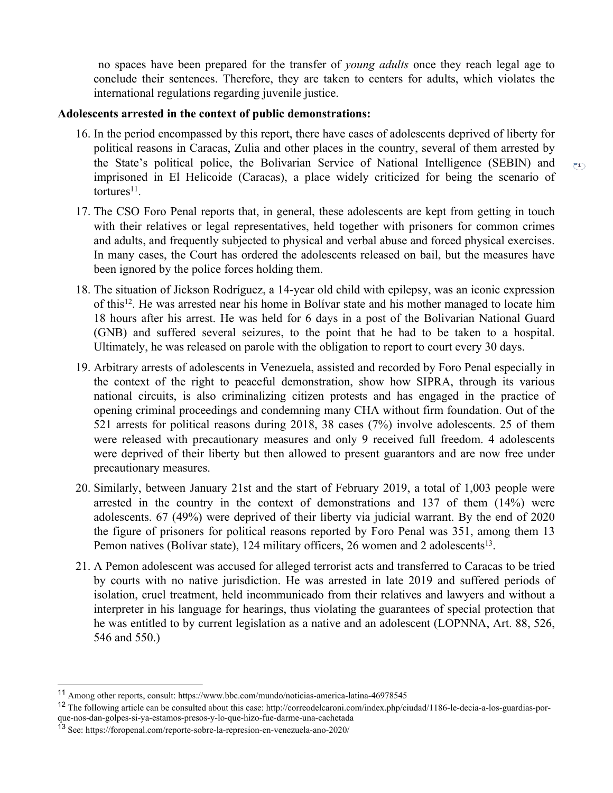no spaces have been prepared for the transfer of *young adults* once they reach legal age to conclude their sentences. Therefore, they are taken to centers for adults, which violates the international regulations regarding juvenile justice.

#### **Adolescents arrested in the context of public demonstrations:**

16. In the period encompassed by this report, there have cases of adolescents deprived of liberty for political reasons in Caracas, Zulia and other places in the country, several of them arrested by the State'<sup>s</sup> political police, the Bolivarian Service of National Intelligence (SEBIN) and imprisoned in El Helicoide (Caracas), <sup>a</sup> place widely criticized for being the scenario of tortures<sup>11</sup>.

 $\overline{r}$ 

- 17. The CSO Foro Penal reports that, in general, these adolescents are kept from getting in touch with their relatives or legal representatives, held together with prisoners for common crimes and adults, and frequently subjected to physical and verbal abuse and forced physical exercises. In many cases, the Court has ordered the adolescents released on bail, but the measures have been ignored by the police forces holding them.
- 18. The situation of Jickson Rodríguez, <sup>a</sup> 14-year old child with epilepsy, was an iconic expression of this 12 . He was arrested near his home in Bolívar state and his mother managed to locate him 18 hours after his arrest. He was held for 6 days in <sup>a</sup> pos<sup>t</sup> of the Bolivarian National Guard (GNB) and suffered several seizures, to the point that he had to be taken to <sup>a</sup> hospital. Ultimately, he was released on parole with the obligation to repor<sup>t</sup> to court every 30 days.
- 19. Arbitrary arrests of adolescents in Venezuela, assisted and recorded by Foro Penal especially in the context of the right to peaceful demonstration, show how SIPRA, through its various national circuits, is also criminalizing citizen protests and has engaged in the practice of opening criminal proceedings and condemning many CHA without firm foundation. Out of the 521 arrests for political reasons during 2018, 38 cases (7%) involve adolescents. 25 of them were released with precautionary measures and only 9 received full freedom. 4 adolescents were deprived of their liberty but then allowed to presen<sup>t</sup> guarantors and are now free under precautionary measures.
- 20. Similarly, between January 21st and the start of February 2019, <sup>a</sup> total of 1,003 people were arrested in the country in the context of demonstrations and 137 of them (14%) were adolescents. 67 (49%) were deprived of their liberty via judicial warrant. By the end of 2020 the figure of prisoners for political reasons reported by Foro Penal was 351, among them 13 Pemon natives (Bolívar state), 124 military officers, 26 women and 2 adolescents<sup>13</sup>.
- 21. APemon adolescent was accused for alleged terrorist acts and transferred to Caracas to be tried by courts with no native jurisdiction. He was arrested in late 2019 and suffered periods of isolation, cruel treatment, held incommunicado from their relatives and lawyers and without <sup>a</sup> interpreter in his language for hearings, thus violating the guarantees of special protection that he was entitled to by current legislation as <sup>a</sup> native and an adolescent (LOPNNA, Art. 88, 526, 546 and 550.)

<sup>11</sup> Among other reports, consult: https://www.bbc.com/mundo/noticias-america-latina-46978545

<sup>&</sup>lt;sup>12</sup> The following article can be consulted about this case: http://correodelcaroni.com/index.php/ciudad/1186-le-decia-a-los-guardias-porque-nos-dan-golpes-si-ya-estamos-presos-y-lo-que-hizo-fue-darme-una-cachetada

<sup>13</sup> See: https://foropenal.com/reporte-sobre-la-represion-en-venezuela-ano-2020/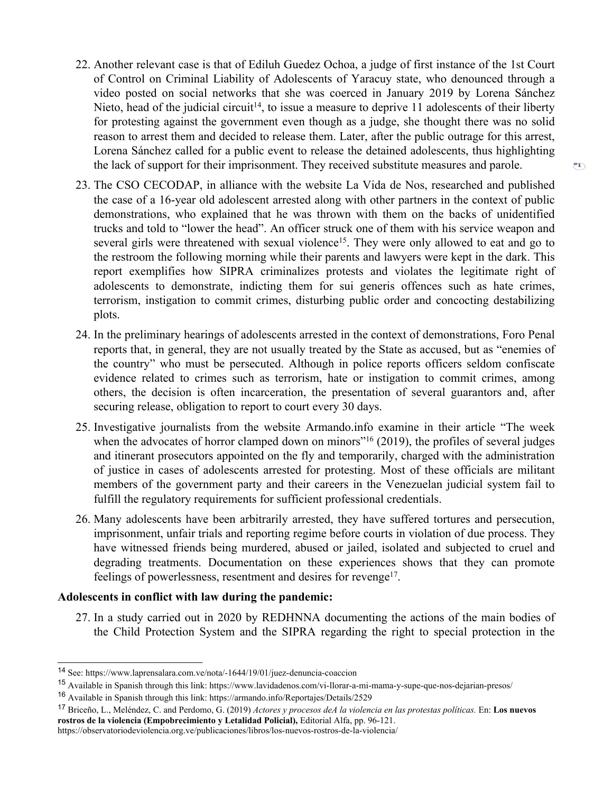- 22. Another relevant case is that of Ediluh Guedez Ochoa, <sup>a</sup> judge of first instance of the 1st Court of Control on Criminal Liability of Adolescents of Yaracuy state, who denounced through <sup>a</sup> video posted on social networks that she was coerced in January 2019 by Lorena Sánchez Nieto, head of the judicial circuit<sup>14</sup>, to issue a measure to deprive 11 adolescents of their liberty for protesting against the governmen<sup>t</sup> even though as <sup>a</sup> judge, she thought there was no solid reason to arrest them and decided to release them. Later, after the public outrage for this arrest, Lorena Sánchez called for <sup>a</sup> public event to release the detained adolescents, thus highlighting the lack of suppor<sup>t</sup> for their imprisonment. They received substitute measures and parole.
- 23. The CSO CECODAP, in alliance with the website La Vida de Nos, researched and published the case of <sup>a</sup> 16-year old adolescent arrested along with other partners in the context of public demonstrations, who explained that he was thrown with them on the backs of unidentified trucks and told to "lower the head". An officer struck one of them with his service weapon and several girls were threatened with sexual violence<sup>15</sup>. They were only allowed to eat and go to the restroom the following morning while their parents and lawyers were kept in the dark. This repor<sup>t</sup> exemplifies how SIPRA criminalizes protests and violates the legitimate right of adolescents to demonstrate, indicting them for sui generis offences such as hate crimes, terrorism, instigation to commit crimes, disturbing public order and concocting destabilizing plots.
- 24. In the preliminary hearings of adolescents arrested in the context of demonstrations, Foro Penal reports that, in general, they are not usually treated by the State as accused, but as "enemies of the country" who must be persecuted. Although in police reports officers seldom confiscate evidence related to crimes such as terrorism, hate or instigation to commit crimes, among others, the decision is often incarceration, the presentation of several guarantors and, after securing release, obligation to repor<sup>t</sup> to court every 30 days.
- 25. Investigative journalists from the website Armando.info examine in their article "The week when the advocates of horror clamped down on minors"<sup>16</sup> (2019), the profiles of several judges and itinerant prosecutors appointed on the fly and temporarily, charged with the administration of justice in cases of adolescents arrested for protesting. Most of these officials are militant members of the governmen<sup>t</sup> party and their careers in the Venezuelan judicial system fail to fulfill the regulatory requirements for sufficient professional credentials.
- 26. Many adolescents have been arbitrarily arrested, they have suffered tortures and persecution, imprisonment, unfair trials and reporting regime before courts in violation of due process. They have witnessed friends being murdered, abused or jailed, isolated and subjected to cruel and degrading treatments. Documentation on these experiences shows that they can promote feelings of powerlessness, resentment and desires for revenge<sup>17</sup>.

#### **Adolescents in conflict with law during the pandemic:**

27. In <sup>a</sup> study carried out in 2020 by REDHNNA documenting the actions of the main bodies of the Child Protection System and the SIPRA regarding the right to special protection in the

<sup>14</sup> See: https://www.laprensalara.com.ve/nota/-1644/19/01/juez-denuncia-coaccion

<sup>15</sup> Available in Spanish through this link: https://www.lavidadenos.com/vi-llorar-a-mi-mama-y-supe-que-nos-dejarian-presos/

<sup>&</sup>lt;sup>16</sup> Available in Spanish through this link: https://armando.info/Reportajes/Details/2529

<sup>&</sup>lt;sup>17</sup> Briceño, L., Meléndez, C. and Perdomo, G. (2019) Actores y procesos deA la violencia en las protestas políticas. En: Los nuevos **rostros de la violencia (Empobrecimiento y Letalidad Policial),** Editorial Alfa, pp. 96-121.

https://observatoriodeviolencia.org.ve/publicaciones/libros/los-nuevos-rostros-de-la-violencia/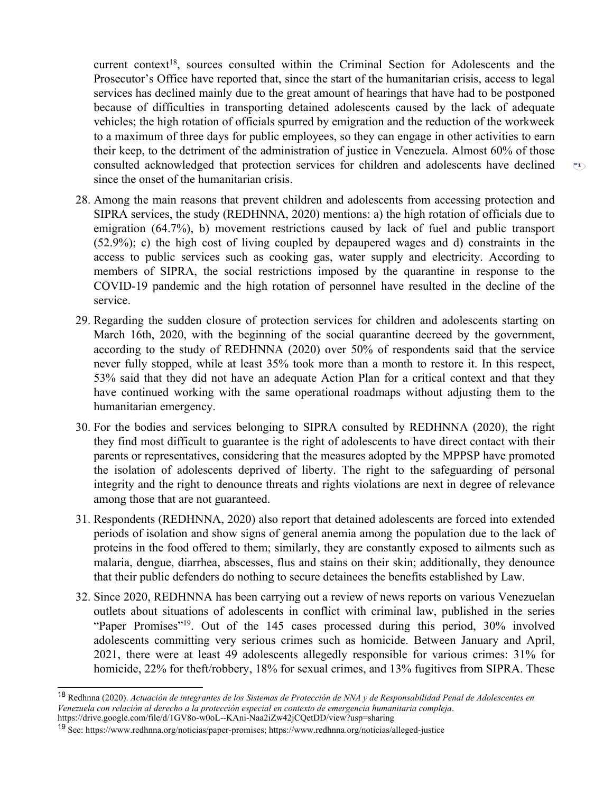current context 18 , sources consulted within the Criminal Section for Adolescents and the Prosecutor'<sup>s</sup> Office have reported that, since the start of the humanitarian crisis, access to legal services has declined mainly due to the grea<sup>t</sup> amount of hearings that have had to be postponed because of difficulties in transporting detained adolescents caused by the lack of adequate vehicles; the high rotation of officials spurred by emigration and the reduction of the workweek to <sup>a</sup> maximum of three days for public employees, so they can engage in other activities to earn their keep, to the detriment of the administration of justice in Venezuela. Almost 60% of those consulted acknowledged that protection services for children and adolescents have declined since the onset of the humanitarian crisis.

- 28. Among the main reasons that preven<sup>t</sup> children and adolescents from accessing protection and SIPRA services, the study (REDHNNA, 2020) mentions: a) the high rotation of officials due to emigration (64.7%), b) movement restrictions caused by lack of fuel and public transport (52.9%); c) the high cost of living coupled by depaupered wages and d) constraints in the access to public services such as cooking gas, water supply and electricity. According to members of SIPRA, the social restrictions imposed by the quarantine in response to the COVID-19 pandemic and the high rotation of personnel have resulted in the decline of the service.
- 29. Regarding the sudden closure of protection services for children and adolescents starting on March 16th, 2020, with the beginning of the social quarantine decreed by the government, according to the study of REDHNNA (2020) over 50% of respondents said that the service never fully stopped, while at least 35% took more than <sup>a</sup> month to restore it. In this respect, 53% said that they did not have an adequate Action Plan for <sup>a</sup> critical context and that they have continued working with the same operational roadmaps without adjusting them to the humanitarian emergency.
- 30. For the bodies and services belonging to SIPRA consulted by REDHNNA (2020), the right they find most difficult to guarantee is the right of adolescents to have direct contact with their parents or representatives, considering that the measures adopted by the MPPSP have promoted the isolation of adolescents deprived of liberty. The right to the safeguarding of personal integrity and the right to denounce threats and rights violations are next in degree of relevance among those that are not guaranteed.
- 31. Respondents (REDHNNA, 2020) also repor<sup>t</sup> that detained adolescents are forced into extended periods of isolation and show signs of general anemia among the population due to the lack of proteins in the food offered to them; similarly, they are constantly exposed to ailments such as malaria, dengue, diarrhea, abscesses, flus and stains on their skin; additionally, they denounce that their public defenders do nothing to secure detainees the benefits established by Law.
- 32. Since 2020, REDHNNA has been carrying out <sup>a</sup> review of news reports on various Venezuelan outlets about situations of adolescents in conflict with criminal law, published in the series "Paper Promises"<sup>19</sup> . Out of the 145 cases processed during this period, 30% involved adolescents committing very serious crimes such as homicide. Between January and April, 2021, there were at least 49 adolescents allegedly responsible for various crimes: 31% for homicide, 22% for theft/robbery, 18% for sexual crimes, and 13% fugitives from SIPRA. These

 $\binom{2}{1}$ 

<sup>&</sup>lt;sup>18</sup> Redhnna (2020). Actuación de integrantes de los Sistemas de Protección de NNA y de Responsabilidad Penal de Adolescentes en Venezuela con relación al derecho a la protección especial en contexto de emergencia humanitaria compleja. https://drive.google.com/file/d/1GV8o-w0oL--KAni-Naa2iZw42jCQetDD/view?usp=sharing

<sup>19</sup> See: https://www.redhnna.org/noticias/paper-promises; https://www.redhnna.org/noticias/alleged-justice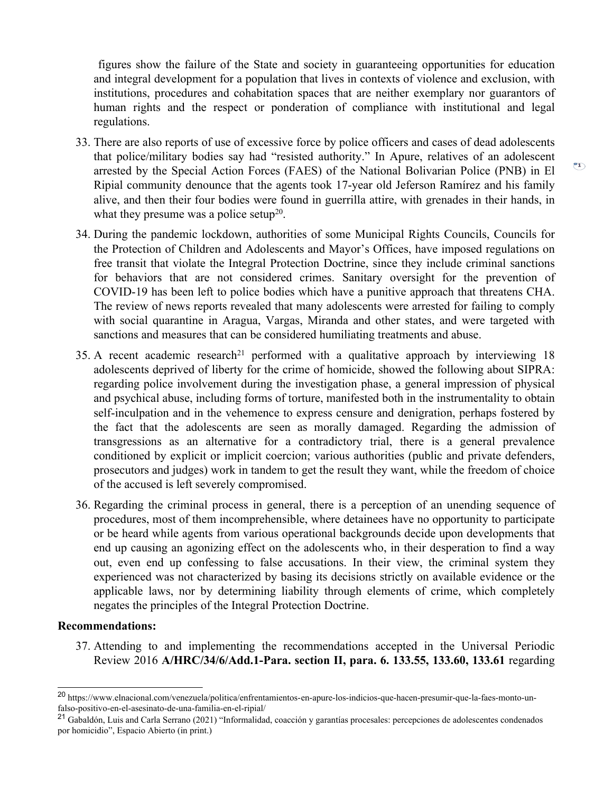figures show the failure of the State and society in guaranteeing opportunities for education and integral development for <sup>a</sup> population that lives in contexts of violence and exclusion, with institutions, procedures and cohabitation spaces that are neither exemplary nor guarantors of human rights and the respec<sup>t</sup> or ponderation of compliance with institutional and legal regulations.

33. There are also reports of use of excessive force by police officers and cases of dead adolescents that police/military bodies say had "resisted authority." In Apure, relatives of an adolescent arrested by the Special Action Forces (FAES) of the National Bolivarian Police (PNB) in El Ripial community denounce that the agents took 17-year old Jeferson Ramírez and his family alive, and then their four bodies were found in guerrilla attire, with grenades in their hands, in what they presume was a police setup<sup>20</sup>.

 $\overline{r}$ 

- 34. During the pandemic lockdown, authorities of some Municipal Rights Councils, Councils for the Protection of Children and Adolescents and Mayor'<sup>s</sup> Offices, have imposed regulations on free transit that violate the Integral Protection Doctrine, since they include criminal sanctions for behaviors that are not considered crimes. Sanitary oversight for the prevention of COVID-19 has been left to police bodies which have <sup>a</sup> punitive approach that threatens CHA. The review of news reports revealed that many adolescents were arrested for failing to comply with social quarantine in Aragua, Vargas, Miranda and other states, and were targeted with sanctions and measures that can be considered humiliating treatments and abuse.
- 35. A recent academic research<sup>21</sup> performed with a qualitative approach by interviewing 18 adolescents deprived of liberty for the crime of homicide, showed the following about SIPRA: regarding police involvement during the investigation phase, <sup>a</sup> general impression of physical and psychical abuse, including forms of torture, manifested both in the instrumentality to obtain self-inculpation and in the vehemence to express censure and denigration, perhaps fostered by the fact that the adolescents are seen as morally damaged. Regarding the admission of transgressions as an alternative for <sup>a</sup> contradictory trial, there is <sup>a</sup> general prevalence conditioned by explicit or implicit coercion; various authorities (public and private defenders, prosecutors and judges) work in tandem to ge<sup>t</sup> the result they want, while the freedom of choice of the accused is left severely compromised.
- 36. Regarding the criminal process in general, there is <sup>a</sup> perception of an unending sequence of procedures, most of them incomprehensible, where detainees have no opportunity to participate or be heard while agents from various operational backgrounds decide upon developments that end up causing an agonizing effect on the adolescents who, in their desperation to find <sup>a</sup> way out, even end up confessing to false accusations. In their view, the criminal system they experienced was not characterized by basing its decisions strictly on available evidence or the applicable laws, nor by determining liability through elements of crime, which completely negates the principles of the Integral Protection Doctrine.

#### **Recommendations:**

37. Attending to and implementing the recommendations accepted in the Universal Periodic Review 2016 **A/HRC/34/6/Add.1-Para. section II, para. 6. 133.55, 133.60, 133.61** regarding

<sup>&</sup>lt;sup>20</sup> https://www.elnacional.com/venezuela/politica/enfrentamientos-en-apure-los-indicios-que-hacen-presumir-que-la-faes-monto-unfalso-positivo-en-el-asesinato-de-una-familia-en-el-ripial/

<sup>&</sup>lt;sup>21</sup> Gabaldón, Luis and Carla Serrano (2021) "Informalidad, coacción y garantías procesales: percepciones de adolescentes condenados por homicidio", Espacio Abierto (in print.)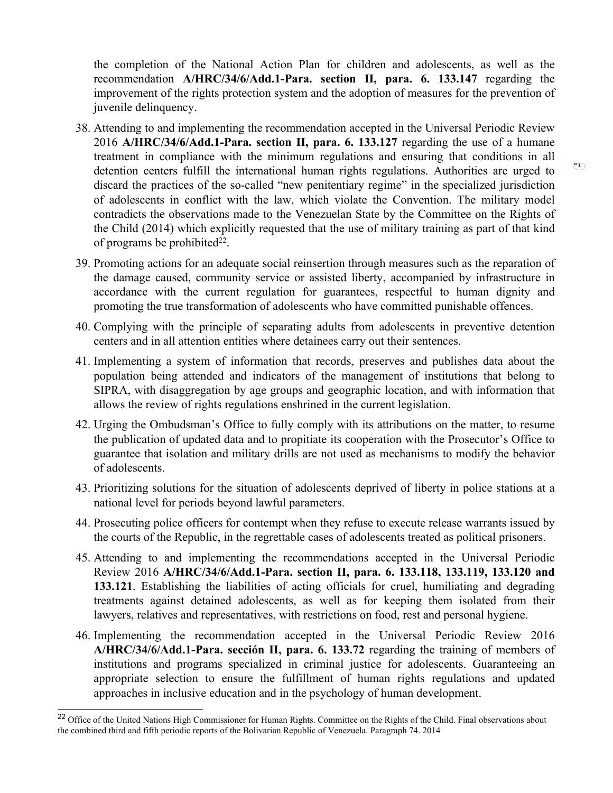the completion of the National Action Plan for children and adolescents, as well as the recommendation **A/HRC/34/6/Add.1-Para. section II, para. 6. 133.147** regarding the improvement of the rights protection system and the adoption of measures for the prevention of juvenile delinquency.

- 38. Attending to and implementing the recommendation accepted in the Universal Periodic Review 2016 **A/HRC/34/6/Add.1-Para. section II, para. 6. 133.127** regarding the use of <sup>a</sup> humane treatment in compliance with the minimum regulations and ensuring that conditions in all detention centers fulfill the international human rights regulations. Authorities are urged to discard the practices of the so-called "new penitentiary regime" in the specialized jurisdiction of adolescents in conflict with the law, which violate the Convention. The military model contradicts the observations made to the Venezuelan State by the Committee on the Rights of the Child (2014) which explicitly requested that the use of military training as par<sup>t</sup> of that kind of programs be prohibited $^{22}$ .
- 39. Promoting actions for an adequate social reinsertion through measures such as the reparation of the damage caused, community service or assisted liberty, accompanied by infrastructure in accordance with the current regulation for guarantees, respectful to human dignity and promoting the true transformation of adolescents who have committed punishable offences.
- 40. Complying with the principle of separating adults from adolescents in preventive detention centers and in all attention entities where detainees carry out their sentences.
- 41. Implementing <sup>a</sup> system of information that records, preserves and publishes data about the population being attended and indicators of the managemen<sup>t</sup> of institutions that belong to SIPRA, with disaggregation by age groups and geographic location, and with information that allows the review of rights regulations enshrined in the current legislation.
- 42. Urging the Ombudsman'<sup>s</sup> Office to fully comply with its attributions on the matter, to resume the publication of updated data and to propitiate its cooperation with the Prosecutor'<sup>s</sup> Office to guarantee that isolation and military drills are not used as mechanisms to modify the behavior of adolescents.
- 43. Prioritizing solutions for the situation of adolescents deprived of liberty in police stations at <sup>a</sup> national level for periods beyond lawful parameters.
- 44. Prosecuting police officers for contempt when they refuse to execute release warrants issued by the courts of the Republic, in the regrettable cases of adolescents treated as political prisoners.
- 45. Attending to and implementing the recommendations accepted in the Universal Periodic Review 2016 **A/HRC/34/6/Add.1-Para. section II, para. 6. 133.118, 133.119, 133.120 and 133.121**. Establishing the liabilities of acting officials for cruel, humiliating and degrading treatments against detained adolescents, as well as for keeping them isolated from their lawyers, relatives and representatives, with restrictions on food, rest and personal hygiene.
- 46. Implementing the recommendation accepted in the Universal Periodic Review 2016 **A/HRC/34/6/Add.1-Para. sección II, para. 6. 133.72** regarding the training of members of institutions and programs specialized in criminal justice for adolescents. Guaranteeing an appropriate selection to ensure the fulfillment of human rights regulations and updated approaches in inclusive education and in the psychology of human development.

 $\overline{P1}$ 

<sup>&</sup>lt;sup>22</sup> Office of the United Nations High Commissioner for Human Rights. Committee on the Rights of the Child. Final observations about the combined third and fifth periodic reports of the Bolivarian Republic of Venezuela. Paragraph 74. 2014